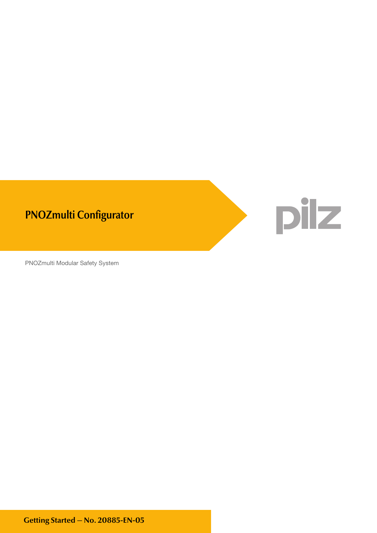

PNOZmulti Modular Safety System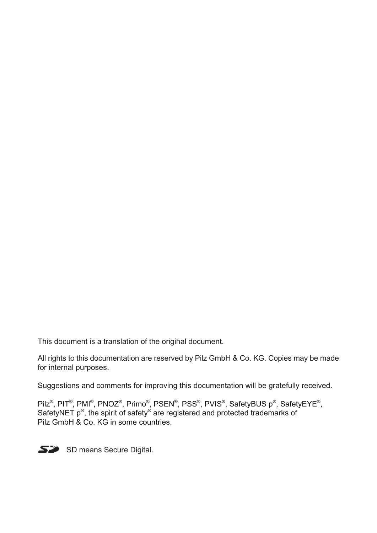This document is a translation of the original document.

All rights to this documentation are reserved by Pilz GmbH & Co. KG. Copies may be made for internal purposes.

Suggestions and comments for improving this documentation will be gratefully received.

Pilz<sup>®</sup>, PIT<sup>®</sup>, PMI<sup>®</sup>, PNOZ<sup>®</sup>, Primo<sup>®</sup>, PSEN<sup>®</sup>, PSS<sup>®</sup>, PVIS<sup>®</sup>, SafetyBUS p<sup>®</sup>, SafetyEYE<sup>®</sup>, SafetyEYE<sup>®</sup>, SafetyNET p<sup>®</sup>, the spirit of safety® are registered and protected trademarks of Pilz GmbH & Co. KG in some countries.



SD means Secure Digital.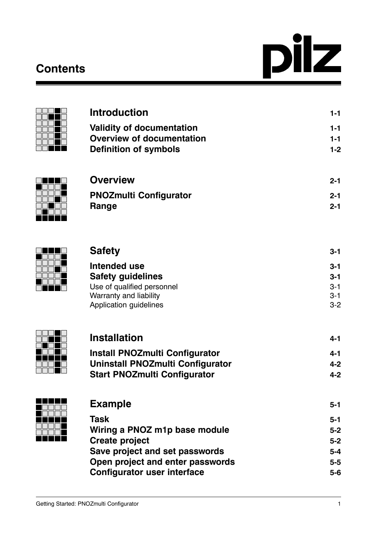# **Contents**





| <b>Introduction</b>              | $1 - 1$ |
|----------------------------------|---------|
| <b>Validity of documentation</b> | $1 - 1$ |
| <b>Overview of documentation</b> | $1 - 1$ |
| <b>Definition of symbols</b>     | $1 - 2$ |
|                                  |         |
| $\bigcap$                        |         |



| <b>Overview</b>               | $2 - 1$ |
|-------------------------------|---------|
| <b>PNOZmulti Configurator</b> | $2 - 1$ |
| <b>Range</b>                  | $2 - 1$ |



| <b>Safety</b>                 | 3-1     |
|-------------------------------|---------|
| Intended use                  | $3 - 1$ |
| <b>Safety guidelines</b>      | $3 - 1$ |
| Use of qualified personnel    | $3 - 1$ |
| Warranty and liability        | $3 - 1$ |
| <b>Application guidelines</b> | $3-2$   |



| <b>Installation</b>                   | 4-1     |
|---------------------------------------|---------|
| <b>Install PNOZmulti Configurator</b> | 4-1     |
| Uninstall PNOZmulti Configurator      | $4 - 2$ |
| <b>Start PNOZmulti Configurator</b>   | $4 - 2$ |
|                                       |         |
|                                       |         |



| <b>Example</b>                     | $5 - 1$ |
|------------------------------------|---------|
| <b>Task</b>                        | $5 - 1$ |
| Wiring a PNOZ m1p base module      | $5 - 2$ |
| <b>Create project</b>              | $5-2$   |
| Save project and set passwords     | $5 - 4$ |
| Open project and enter passwords   | $5-5$   |
| <b>Configurator user interface</b> | $5-6$   |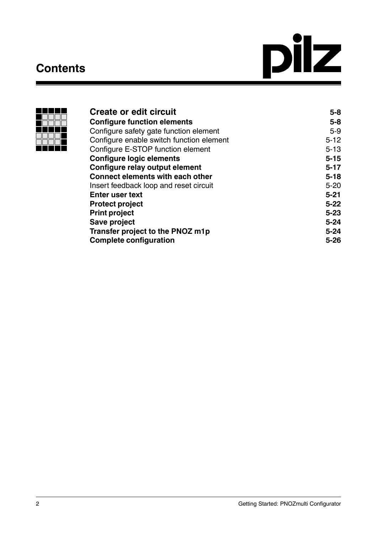## **Contents**





| Create or edit circuit                   | $5 - 8$  |
|------------------------------------------|----------|
| <b>Configure function elements</b>       | $5 - 8$  |
| Configure safety gate function element   | $5-9$    |
| Configure enable switch function element | $5 - 12$ |
| Configure E-STOP function element        | $5 - 13$ |
| <b>Configure logic elements</b>          | $5 - 15$ |
| Configure relay output element           | $5 - 17$ |
| <b>Connect elements with each other</b>  | $5 - 18$ |
| Insert feedback loop and reset circuit   | $5 - 20$ |
| <b>Enter user text</b>                   | $5 - 21$ |
| <b>Protect project</b>                   | $5 - 22$ |
| <b>Print project</b>                     | $5 - 23$ |
| Save project                             | $5 - 24$ |
| Transfer project to the PNOZ m1p         | $5 - 24$ |
| <b>Complete configuration</b>            | $5 - 26$ |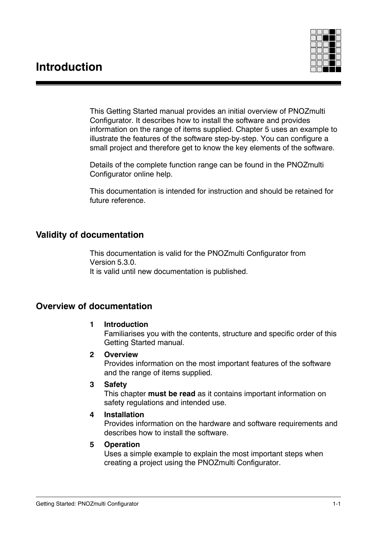

This Getting Started manual provides an initial overview of PNOZmulti Configurator. It describes how to install the software and provides information on the range of items supplied. Chapter 5 uses an example to illustrate the features of the software step-by-step. You can configure a small project and therefore get to know the key elements of the software.

Details of the complete function range can be found in the PNOZmulti Configurator online help.

This documentation is intended for instruction and should be retained for future reference.

## **Validity of documentation**

This documentation is valid for the PNOZmulti Configurator from Version 5.3.0. It is valid until new documentation is published.

## **Overview of documentation**

## **1 Introduction**

Familiarises you with the contents, structure and specific order of this Getting Started manual.

## **2 Overview**

Provides information on the most important features of the software and the range of items supplied.

## **3 Safety**

This chapter **must be read** as it contains important information on safety regulations and intended use.

## **4 Installation**

Provides information on the hardware and software requirements and describes how to install the software.

## **5 Operation**

Uses a simple example to explain the most important steps when creating a project using the PNOZmulti Configurator.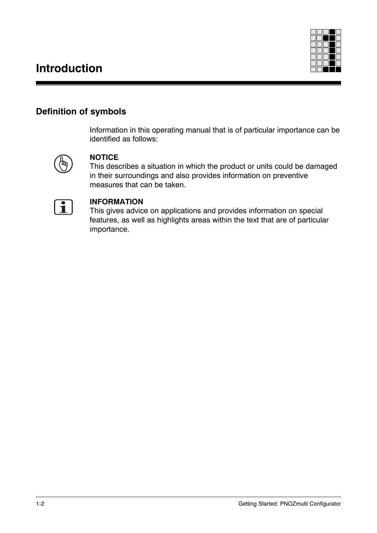## **Introduction**



## **Definition of symbols**

Information in this operating manual that is of particular importance can be identified as follows:



## **NOTICE**

This describes a situation in which the product or units could be damaged in their surroundings and also provides information on preventive measures that can be taken.



## **INFORMATION**

This gives advice on applications and provides information on special features, as well as highlights areas within the text that are of particular importance.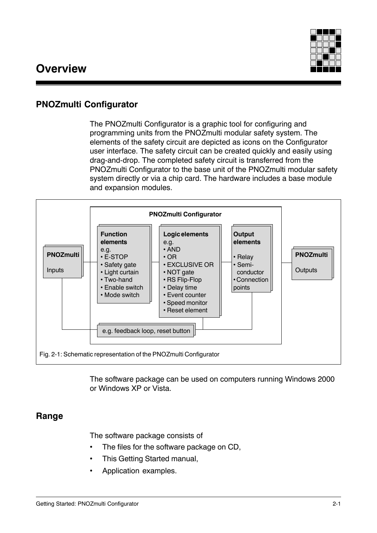

## **PNOZmulti Configurator**

The PNOZmulti Configurator is a graphic tool for configuring and programming units from the PNOZmulti modular safety system. The elements of the safety circuit are depicted as icons on the Configurator user interface. The safety circuit can be created quickly and easily using drag-and-drop. The completed safety circuit is transferred from the PNOZmulti Configurator to the base unit of the PNOZmulti modular safety system directly or via a chip card. The hardware includes a base module and expansion modules.



The software package can be used on computers running Windows 2000 or Windows XP or Vista.

## **Range**

The software package consists of

- The files for the software package on CD,
- This Getting Started manual,
- Application examples.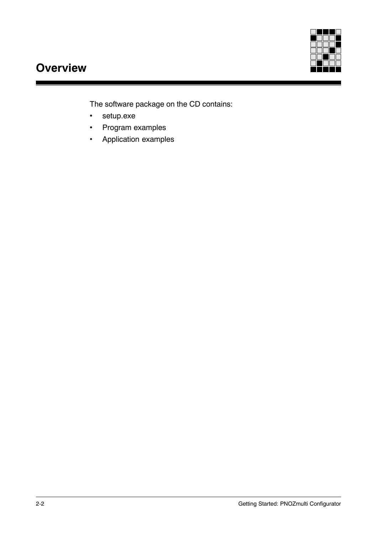

## **Overview**

The software package on the CD contains:

- setup.exe
- Program examples
- Application examples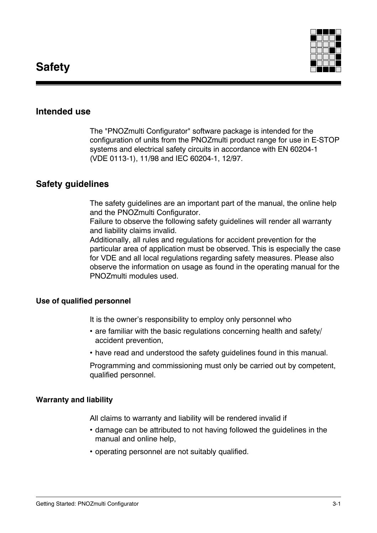

## **Intended use**

The "PNOZmulti Configurator" software package is intended for the configuration of units from the PNOZmulti product range for use in E-STOP systems and electrical safety circuits in accordance with EN 60204-1 (VDE 0113-1), 11/98 and IEC 60204-1, 12/97.

## **Safety guidelines**

The safety guidelines are an important part of the manual, the online help and the PNOZmulti Configurator.

Failure to observe the following safety guidelines will render all warranty and liability claims invalid.

Additionally, all rules and regulations for accident prevention for the particular area of application must be observed. This is especially the case for VDE and all local regulations regarding safety measures. Please also observe the information on usage as found in the operating manual for the PNOZmulti modules used.

#### **Use of qualified personnel**

It is the owner's responsibility to employ only personnel who

- are familiar with the basic regulations concerning health and safety/ accident prevention,
- have read and understood the safety guidelines found in this manual.

Programming and commissioning must only be carried out by competent, qualified personnel.

#### **Warranty and liability**

All claims to warranty and liability will be rendered invalid if

- damage can be attributed to not having followed the guidelines in the manual and online help,
- operating personnel are not suitably qualified.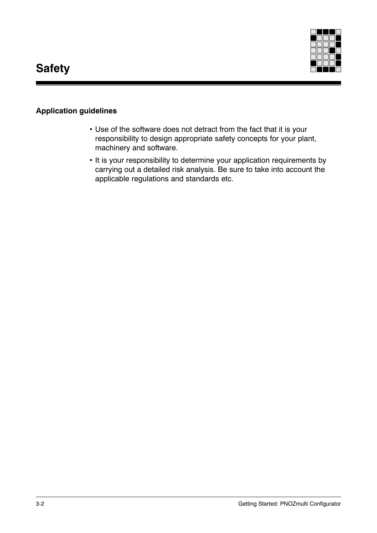

## **Application guidelines**

- Use of the software does not detract from the fact that it is your responsibility to design appropriate safety concepts for your plant, machinery and software.
- It is your responsibility to determine your application requirements by carrying out a detailed risk analysis. Be sure to take into account the applicable regulations and standards etc.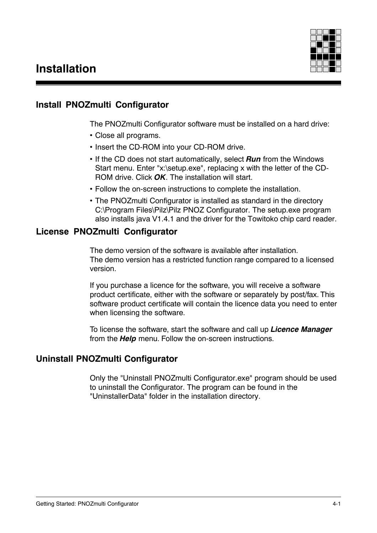

## **Install PNOZmulti Configurator**

The PNOZmulti Configurator software must be installed on a hard drive:

- Close all programs.
- Insert the CD-ROM into your CD-ROM drive.
- If the CD does not start automatically, select *Run* from the Windows Start menu. Enter "x:\setup.exe", replacing x with the letter of the CD-ROM drive. Click *OK*. The installation will start.
- Follow the on-screen instructions to complete the installation.
- The PNOZmulti Configurator is installed as standard in the directory C:\Program Files\Pilz\Pilz PNOZ Configurator. The setup.exe program also installs java V1.4.1 and the driver for the Towitoko chip card reader.

## **License PNOZmulti Configurator**

The demo version of the software is available after installation. The demo version has a restricted function range compared to a licensed version.

If you purchase a licence for the software, you will receive a software product certificate, either with the software or separately by post/fax. This software product certificate will contain the licence data you need to enter when licensing the software.

To license the software, start the software and call up *Licence Manager* from the *Help* menu. Follow the on-screen instructions.

## **Uninstall PNOZmulti Configurator**

Only the "Uninstall PNOZmulti Configurator.exe" program should be used to uninstall the Configurator. The program can be found in the "UninstallerData" folder in the installation directory.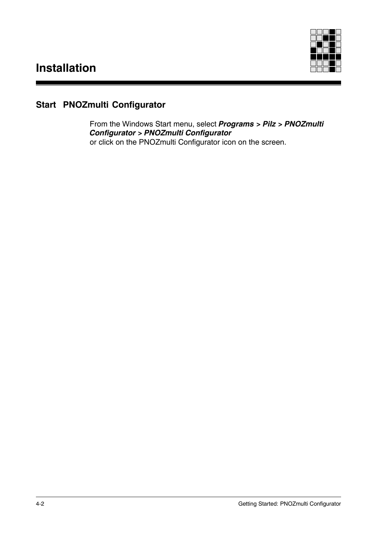

## **Start PNOZmulti Configurator**

From the Windows Start menu, select *Programs > Pilz > PNOZmulti Configurator > PNOZmulti Configurator* or click on the PNOZmulti Configurator icon on the screen.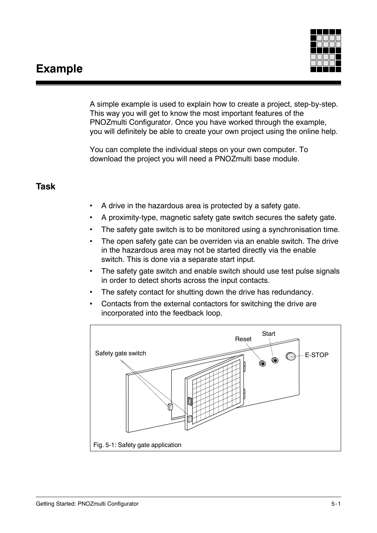## **Example**



A simple example is used to explain how to create a project, step-by-step. This way you will get to know the most important features of the PNOZmulti Configurator. Once you have worked through the example, you will definitely be able to create your own project using the online help.

You can complete the individual steps on your own computer. To download the project you will need a PNOZmulti base module.

## **Task**

- A drive in the hazardous area is protected by a safety gate.
- A proximity-type, magnetic safety gate switch secures the safety gate.
- The safety gate switch is to be monitored using a synchronisation time.
- The open safety gate can be overriden via an enable switch. The drive in the hazardous area may not be started directly via the enable switch. This is done via a separate start input.
- The safety gate switch and enable switch should use test pulse signals in order to detect shorts across the input contacts.
- The safety contact for shutting down the drive has redundancy.
- Contacts from the external contactors for switching the drive are incorporated into the feedback loop.

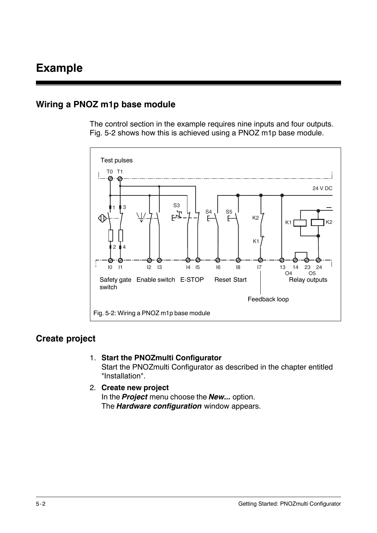## **Wiring a PNOZ m1p base module**

The control section in the example requires nine inputs and four outputs. Fig. 5-2 shows how this is achieved using a PNOZ m1p base module.



## **Create project**

1. **Start the PNOZmulti Configurator**

Start the PNOZmulti Configurator as described in the chapter entitled "Installation".

2. **Create new project** In the *Project* menu choose the *New...* option. The *Hardware configuration* window appears.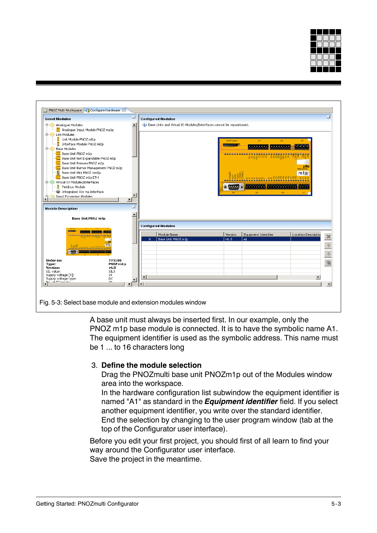



A base unit must always be inserted first. In our example, only the PNOZ m1p base module is connected. It is to have the symbolic name A1. The equipment identifier is used as the symbolic address. This name must be 1 ... to 16 characters long

## 3. **Define the module selection**

Drag the PNOZmulti base unit PNOZm1p out of the Modules window area into the workspace.

In the hardware configuration list subwindow the equipment identifier is named "A1" as standard in the *Equipment identifier* field. If you select another equipment identifier, you write over the standard identifier. End the selection by changing to the user program window (tab at the top of the Configurator user interface).

Before you edit your first project, you should first of all learn to find your way around the Configurator user interface. Save the project in the meantime.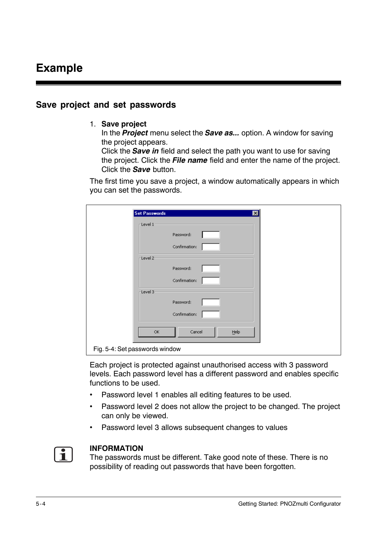## **Save project and set passwords**

#### 1. **Save project**

In the *Project* menu select the *Save as...* option. A window for saving the project appears.

Click the *Save in* field and select the path you want to use for saving the project. Click the *File name* field and enter the name of the project. Click the *Save* button.

The first time you save a project, a window automatically appears in which you can set the passwords.

| <b>Set Passwords</b>           | ⊠              |  |
|--------------------------------|----------------|--|
| $\sqcap$ Level 1:              |                |  |
|                                | Password:      |  |
|                                | Confirmation:  |  |
| $-$ Level 2                    |                |  |
|                                | Password:      |  |
|                                | Confirmation:  |  |
| $-$ Level 3                    |                |  |
|                                | Password:      |  |
|                                | Confirmation:  |  |
| OK                             | Cancel<br>Help |  |
| Fig. 5-4: Set passwords window |                |  |

Each project is protected against unauthorised access with 3 password levels. Each password level has a different password and enables specific functions to be used.

- Password level 1 enables all editing features to be used.
- Password level 2 does not allow the project to be changed. The project can only be viewed.
- Password level 3 allows subsequent changes to values



#### **INFORMATION**

The passwords must be different. Take good note of these. There is no possibility of reading out passwords that have been forgotten.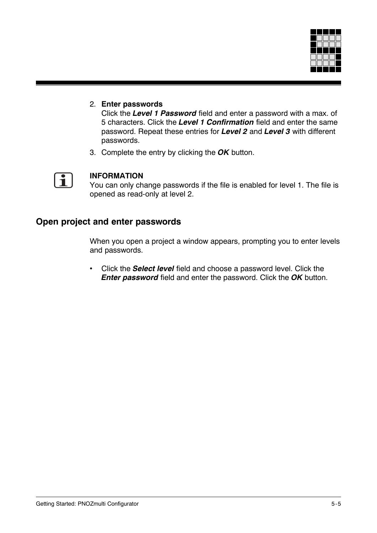

## 2. **Enter passwords**

Click the *Level 1 Password* field and enter a password with a max. of 5 characters. Click the *Level 1 Confirmation* field and enter the same password. Repeat these entries for *Level 2* and *Level 3* with different passwords.

3. Complete the entry by clicking the *OK* button.



### **INFORMATION**

You can only change passwords if the file is enabled for level 1. The file is opened as read-only at level 2.

## **Open project and enter passwords**

When you open a project a window appears, prompting you to enter levels and passwords.

• Click the *Select level* field and choose a password level. Click the *Enter password* field and enter the password. Click the *OK* button.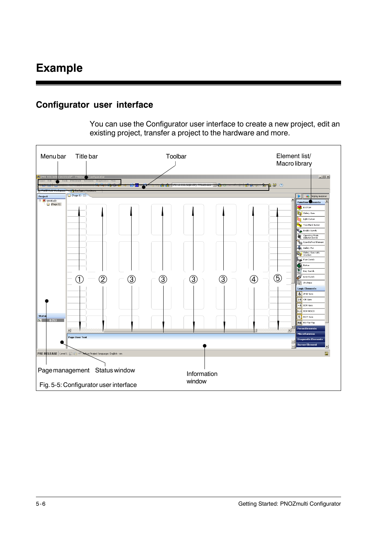## **Configurator user interface**

You can use the Configurator user interface to create a new project, edit an existing project, transfer a project to the hardware and more.

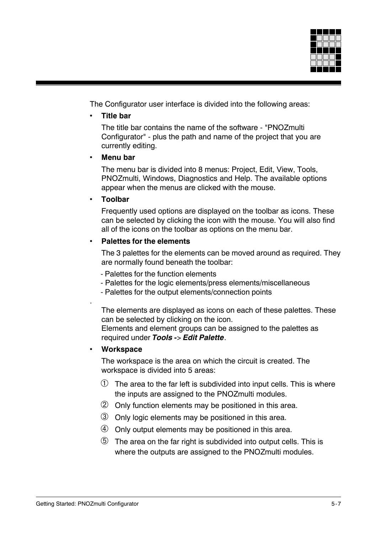

The Configurator user interface is divided into the following areas:

• **Title bar**

The title bar contains the name of the software - "PNOZmulti Configurator" - plus the path and name of the project that you are currently editing.

• **Menu bar**

The menu bar is divided into 8 menus: Project, Edit, View, Tools, PNOZmulti, Windows, Diagnostics and Help. The available options appear when the menus are clicked with the mouse.

#### • **Toolbar**

Frequently used options are displayed on the toolbar as icons. These can be selected by clicking the icon with the mouse. You will also find all of the icons on the toolbar as options on the menu bar.

#### • **Palettes for the elements**

The 3 palettes for the elements can be moved around as required. They are normally found beneath the toolbar:

- Palettes for the function elements
- Palettes for the logic elements/press elements/miscellaneous
- Palettes for the output elements/connection points

The elements are displayed as icons on each of these palettes. These can be selected by clicking on the icon.

Elements and element groups can be assigned to the palettes as required under *Tools -*> *Edit Palette*.

#### • **Workspace**

.

The workspace is the area on which the circuit is created. The workspace is divided into 5 areas:

- $\Phi$  The area to the far left is subdivided into input cells. This is where the inputs are assigned to the PNOZmulti modules.
- ➁ Only function elements may be positioned in this area.
- ➂ Only logic elements may be positioned in this area.
- $\circledA$  Only output elements may be positioned in this area.
- ➄ The area on the far right is subdivided into output cells. This is where the outputs are assigned to the PNOZmulti modules.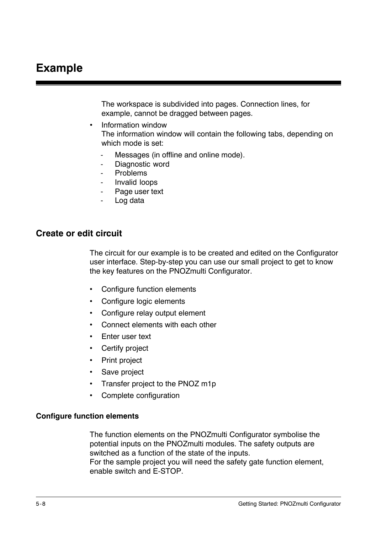The workspace is subdivided into pages. Connection lines, for example, cannot be dragged between pages.

- Information window The information window will contain the following tabs, depending on which mode is set:
	- Messages (in offline and online mode).
	- Diagnostic word
	- **Problems**
	- Invalid loops
	- Page user text
	- Log data

### **Create or edit circuit**

The circuit for our example is to be created and edited on the Configurator user interface. Step-by-step you can use our small project to get to know the key features on the PNOZmulti Configurator.

- Configure function elements
- Configure logic elements
- Configure relay output element
- Connect elements with each other
- Enter user text
- Certify project
- Print project
- Save project
- Transfer project to the PNOZ m1p
- Complete configuration

#### **Configure function elements**

The function elements on the PNOZmulti Configurator symbolise the potential inputs on the PNOZmulti modules. The safety outputs are switched as a function of the state of the inputs. For the sample project you will need the safety gate function element, enable switch and E-STOP.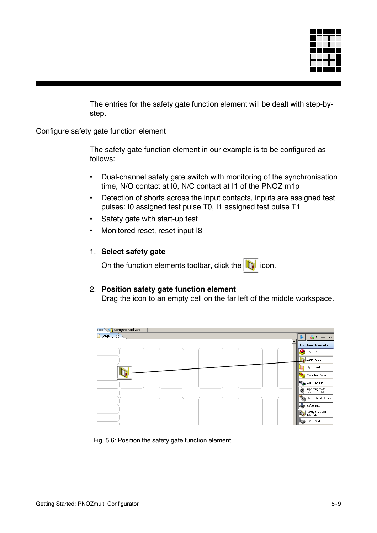

The entries for the safety gate function element will be dealt with step-bystep.

Configure safety gate function element

The safety gate function element in our example is to be configured as follows:

- Dual-channel safety gate switch with monitoring of the synchronisation time, N/O contact at I0, N/C contact at I1 of the PNOZ m1p
- Detection of shorts across the input contacts, inputs are assigned test pulses: I0 assigned test pulse T0, I1 assigned test pulse T1
- Safety gate with start-up test
- Monitored reset, reset input I8

### 1. **Select safety gate**

On the function elements toolbar, click the  $\|\cdot\|$  icon.

#### 2. **Position safety gate function element**

Drag the icon to an empty cell on the far left of the middle workspace.

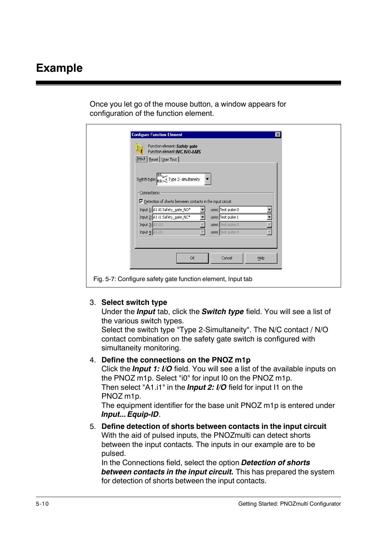Once you let go of the mouse button, a window appears for configuration of the function element.

| Function element: Safety gate<br>Function element: N/C N/O-t-MS                           |
|-------------------------------------------------------------------------------------------|
| [Input] Reset   User Text                                                                 |
| Switch type: No t Type 2- simultaneity                                                    |
| Connections:<br>$\triangledown$ Detection of shorts between contacts in the input circuit |
| Input 1: A1.i0.Safety_gate_NO*<br>uses: Test pulse 0                                      |
| Input 2: A1.i1.Safety_gate_NC*<br>uses: Test pulse 1                                      |
| Input 3: A1.i10<br>uses: Test pulse 0                                                     |
| Input 4: A1.i11<br>uses: Test pulse 0<br>$\overline{\mathbf{v}}$                          |
|                                                                                           |
| Help<br>OK.<br>Cancel                                                                     |

#### 3. **Select switch type**

Under the *Input* tab, click the *Switch type* field. You will see a list of the various switch types.

Select the switch type "Type 2-Simultaneity". The N/C contact / N/O contact combination on the safety gate switch is configured with simultaneity monitoring.

#### 4. **Define the connections on the PNOZ m1p**

Click the *Input 1: I/O* field. You will see a list of the available inputs on the PNOZ m1p. Select "i0" for input I0 on the PNOZ m1p. Then select "A1.i1" in the *Input 2: I/O* field for input I1 on the PNOZ m1p.

The equipment identifier for the base unit PNOZ m1p is entered under *Input... Equip-ID*.

5. **Define detection of shorts between contacts in the input circuit** With the aid of pulsed inputs, the PNOZmulti can detect shorts between the input contacts. The inputs in our example are to be pulsed.

In the Connections field, select the option *Detection of shorts between contacts in the input circuit.* This has prepared the system for detection of shorts between the input contacts.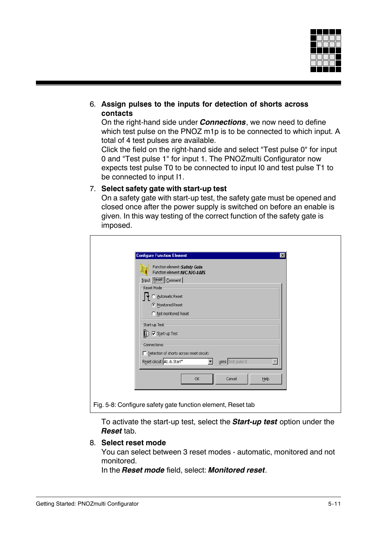

## 6. **Assign pulses to the inputs for detection of shorts across contacts**

On the right-hand side under *Connections*, we now need to define which test pulse on the PNOZ m1p is to be connected to which input. A total of 4 test pulses are available.

Click the field on the right-hand side and select "Test pulse 0" for input 0 and "Test pulse 1" for input 1. The PNOZmulti Configurator now expects test pulse T0 to be connected to input I0 and test pulse T1 to be connected to input I1.

#### 7. **Select safety gate with start-up test**

On a safety gate with start-up test, the safety gate must be opened and closed once after the power supply is switched on before an enable is given. In this way testing of the correct function of the safety gate is imposed.

| <b>Configure Function Element</b>                                               |    |                    |      | $\vert x \vert$ |
|---------------------------------------------------------------------------------|----|--------------------|------|-----------------|
| Function element: Safety Gate<br>Function element: N/C N/O-t-MS                 |    |                    |      |                 |
| Input <b>Reset</b> Comment                                                      |    |                    |      |                 |
| Reset Mode                                                                      |    |                    |      |                 |
| Automatic Reset                                                                 |    |                    |      |                 |
| <b>C</b> Monitored Reset                                                        |    |                    |      |                 |
| C Not monitored Reset                                                           |    |                    |      |                 |
| Start-up Test:                                                                  |    |                    |      |                 |
| D <b>IV</b> Start-up Test                                                       |    |                    |      |                 |
| Connections:                                                                    |    |                    |      |                 |
| $\Box$ Detection of shorts across reset circuit:<br>Reset circuit: A1.i6.Start* | ▼  | uses: Test pulse 0 |      |                 |
|                                                                                 |    |                    |      |                 |
|                                                                                 | ОК | Cancel             | Help |                 |
|                                                                                 |    |                    |      |                 |

To activate the start-up test, select the *Start-up test* option under the *Reset* tab.

#### 8. **Select reset mode**

You can select between 3 reset modes - automatic, monitored and not monitored.

In the *Reset mode* field, select: *Monitored reset*.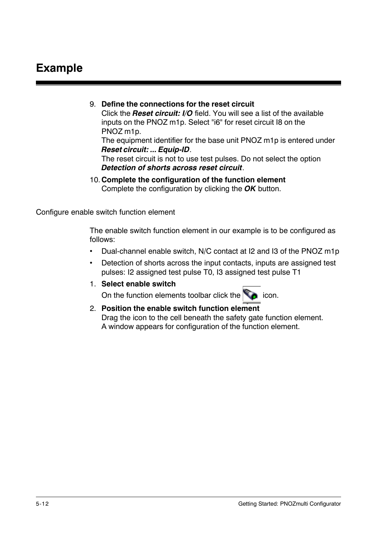## 9. **Define the connections for the reset circuit**

Click the *Reset circuit: I/O* field. You will see a list of the available inputs on the PNOZ m1p. Select "i6" for reset circuit I8 on the PNOZ m1p.

The equipment identifier for the base unit PNOZ m1p is entered under *Reset circuit: ... Equip-ID*.

The reset circuit is not to use test pulses. Do not select the option *Detection of shorts across reset circuit*.

10. **Complete the configuration of the function element** Complete the configuration by clicking the *OK* button.

Configure enable switch function element

The enable switch function element in our example is to be configured as follows:

- Dual-channel enable switch, N/C contact at I2 and I3 of the PNOZ m1p
- Detection of shorts across the input contacts, inputs are assigned test pulses: I2 assigned test pulse T0, I3 assigned test pulse T1
- 1. **Select enable switch**

On the function elements toolbar click the  $\Box$  icon.

2. **Position the enable switch function element** Drag the icon to the cell beneath the safety gate function element. A window appears for configuration of the function element.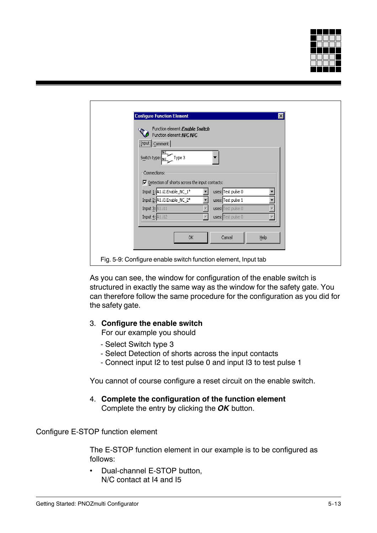

| <b>Configure Function Element</b><br>$\vert x \vert$                   |  |
|------------------------------------------------------------------------|--|
| Function element: Enable Switch<br>Function element: N/C N/C           |  |
| $\boxed{\text{Input}}$ $\boxed{\text{Comment}}$                        |  |
| Type 3<br>Switch type: Nc                                              |  |
| Connections:                                                           |  |
| $\overline{\mathbf{v}}$ Detection of shorts across the input contacts: |  |
| Input 1: A1.i2.Enable_NC_1*<br>uses: Test pulse 0                      |  |
| Input 2: A1.i3.Enable_NC_2*<br>uses: Test pulse 1                      |  |
| Input 3: A1.i11<br>uses: Test pulse 0                                  |  |
| Input $\frac{4}{3}$ : A1.i12<br>uses: Test pulse 0                     |  |
|                                                                        |  |
| OK.<br>Cancel<br>Help                                                  |  |
|                                                                        |  |
|                                                                        |  |
| Fig. 5-9: Configure enable switch function element, Input tab          |  |

As you can see, the window for configuration of the enable switch is structured in exactly the same way as the window for the safety gate. You can therefore follow the same procedure for the configuration as you did for the safety gate.

#### 3. **Configure the enable switch**

For our example you should

- Select Switch type 3
- Select Detection of shorts across the input contacts
- Connect input I2 to test pulse 0 and input I3 to test pulse 1

You cannot of course configure a reset circuit on the enable switch.

4. **Complete the configuration of the function element** Complete the entry by clicking the *OK* button.

## Configure E-STOP function element

The E-STOP function element in our example is to be configured as follows:

• Dual-channel E-STOP button, N/C contact at I4 and I5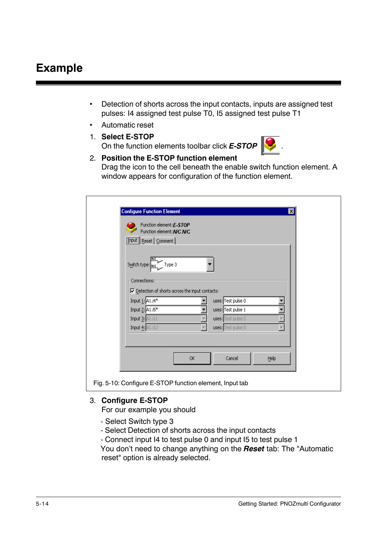- Detection of shorts across the input contacts, inputs are assigned test pulses: I4 assigned test pulse T0, I5 assigned test pulse T1
- Automatic reset
- 1. **Select E-STOP** On the function elements toolbar click *E-STOP* .



2. **Position the E-STOP function element** Drag the icon to the cell beneath the enable switch function element. A window appears for configuration of the function element.

| <b>Configure Function Element</b><br>$\vert x \vert$                                                                  |
|-----------------------------------------------------------------------------------------------------------------------|
| Function element: E-STOP                                                                                              |
| Function element: N/C N/C                                                                                             |
| [Input] Reset [Comment]                                                                                               |
| Type 3<br>Switch type: Nc<br>Connections:                                                                             |
| $\boxed{\blacktriangledown}$ Detection of shorts across the input contacts:                                           |
| Input $\underline{1}$ : A1.i4*<br>uses: Test pulse 0<br>Input $\underline{2}$ : $\boxed{A1.5*}$<br>uses: Test pulse 1 |
| Input 3: A1.i11<br>uses: Test pulse 0                                                                                 |
| Input 4: A1.i12<br>uses: Test pulse 0                                                                                 |
|                                                                                                                       |
|                                                                                                                       |
| OK<br>Cancel<br>Help                                                                                                  |
|                                                                                                                       |
| Fig. 5-10: Configure E-STOP function element, Input tab                                                               |

#### 3. **Configure E-STOP**

For our example you should

- Select Switch type 3
- Select Detection of shorts across the input contacts
- Connect input I4 to test pulse 0 and input I5 to test pulse 1
- You don't need to change anything on the *Reset* tab: The "Automatic reset" option is already selected.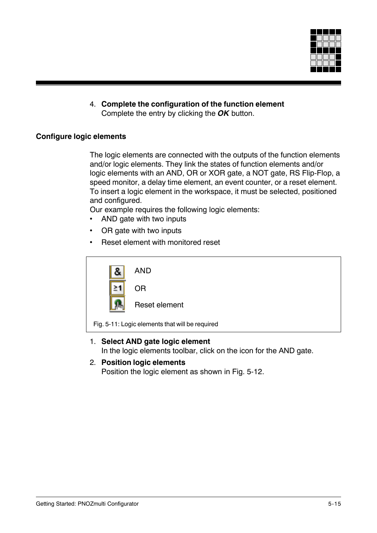

4. **Complete the configuration of the function element** Complete the entry by clicking the *OK* button.

### **Configure logic elements**

The logic elements are connected with the outputs of the function elements and/or logic elements. They link the states of function elements and/or logic elements with an AND, OR or XOR gate, a NOT gate, RS Flip-Flop, a speed monitor, a delay time element, an event counter, or a reset element. To insert a logic element in the workspace, it must be selected, positioned and configured.

Our example requires the following logic elements:

- AND gate with two inputs
- OR gate with two inputs
- Reset element with monitored reset

| <b>AND</b>                                      |
|-------------------------------------------------|
| 0R                                              |
| Reset element                                   |
| Fig. 5-11: Logic elements that will be required |

- 1. **Select AND gate logic element** In the logic elements toolbar, click on the icon for the AND gate.
- 2. **Position logic elements** Position the logic element as shown in Fig. 5-12.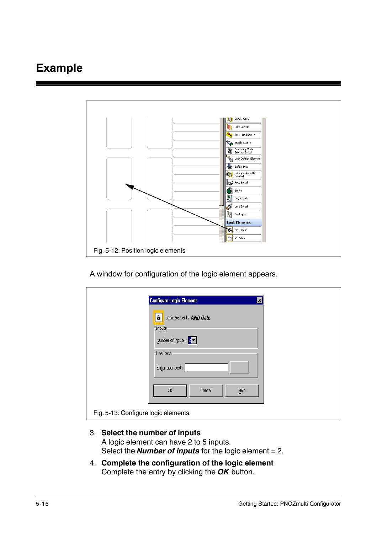## **Example**



A window for configuration of the logic element appears.

| Configure Logic Element<br>図                        |
|-----------------------------------------------------|
| Logic element: AND Gate<br>&<br>$\neg$ Inputs:      |
| Number of inputs: $\boxed{2}$ $\blacktriangleright$ |
| User text-                                          |
| Enter user text:                                    |
| OK<br>Help<br>Cancel                                |
| Fig. 5-13: Configure logic elements                 |

- 3. **Select the number of inputs** A logic element can have 2 to 5 inputs. Select the *Number of inputs* for the logic element = 2.
- 4. **Complete the configuration of the logic element** Complete the entry by clicking the *OK* button.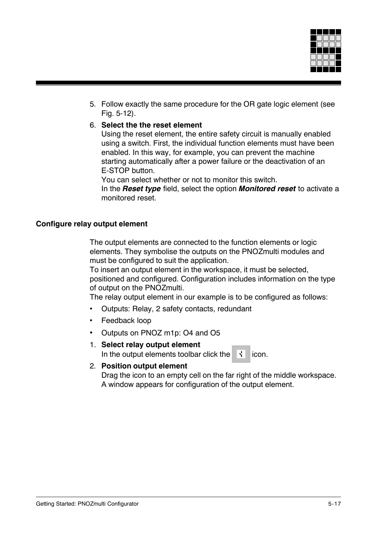

5. Follow exactly the same procedure for the OR gate logic element (see Fig. 5-12).

#### 6. **Select the the reset element**

Using the reset element, the entire safety circuit is manually enabled using a switch. First, the individual function elements must have been enabled. In this way, for example, you can prevent the machine starting automatically after a power failure or the deactivation of an E-STOP button.

You can select whether or not to monitor this switch.

In the *Reset type* field, select the option *Monitored reset* to activate a monitored reset.

#### **Configure relay output element**

The output elements are connected to the function elements or logic elements. They symbolise the outputs on the PNOZmulti modules and must be configured to suit the application.

To insert an output element in the workspace, it must be selected, positioned and configured. Configuration includes information on the type of output on the PNOZmulti.

The relay output element in our example is to be configured as follows:

- Outputs: Relay, 2 safety contacts, redundant
- Feedback loop
- Outputs on PNOZ m1p: O4 and O5
- 1. **Select relay output element** In the output elements toolbar click the  $\vec{v}$  icon.

#### 2. **Position output element**

Drag the icon to an empty cell on the far right of the middle workspace. A window appears for configuration of the output element.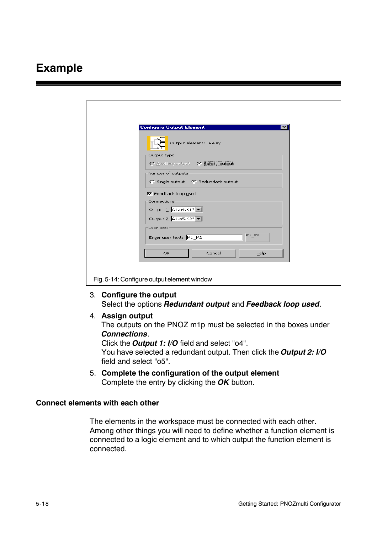## **Example**

| <b>Configure Output Element</b><br>$\vert x \vert$ |
|----------------------------------------------------|
| Output element: Relay                              |
| Output type                                        |
| O Auxiliary output @ Safety output                 |
| Number of outputs                                  |
| C Single output C Redundant output                 |
| <b>▽</b> Feedback loop used                        |
| Connections                                        |
| Output $\underline{1}$ A1.o4.K1* $\boxed{\bullet}$ |
| Output 2 A1.o5.K2*                                 |
| User text                                          |
| M1 M2<br>Enter user text: M1_M2                    |
| <b>OK</b><br>Cancel<br>Help                        |
|                                                    |

#### 3. **Configure the output**

Select the options *Redundant output* and *Feedback loop used*.

4. **Assign output**

The outputs on the PNOZ m1p must be selected in the boxes under *Connections*.

Click the *Output 1: I/O* field and select "o4". You have selected a redundant output. Then click the *Output 2: I/O* field and select "o5".

5. **Complete the configuration of the output element** Complete the entry by clicking the *OK* button.

#### **Connect elements with each other**

The elements in the workspace must be connected with each other. Among other things you will need to define whether a function element is connected to a logic element and to which output the function element is connected.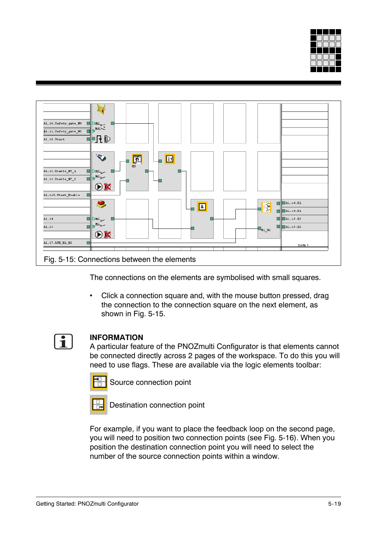



The connections on the elements are symbolised with small squares.

• Click a connection square and, with the mouse button pressed, drag the connection to the connection square on the next element, as shown in Fig. 5-15.



## **INFORMATION**

A particular feature of the PNOZmulti Configurator is that elements cannot be connected directly across 2 pages of the workspace. To do this you will need to use flags. These are available via the logic elements toolbar:



Source connection point



Destination connection point

For example, if you want to place the feedback loop on the second page, you will need to position two connection points (see Fig. 5-16). When you position the destination connection point you will need to select the number of the source connection points within a window.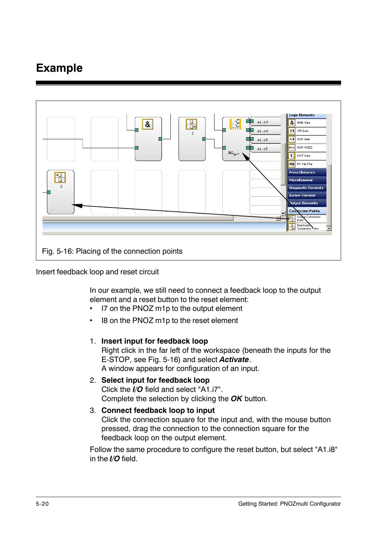# **Example**



Insert feedback loop and reset circuit

In our example, we still need to connect a feedback loop to the output element and a reset button to the reset element:

- I7 on the PNOZ m1p to the output element
- I8 on the PNOZ m1p to the reset element

#### 1. **Insert input for feedback loop**

Right click in the far left of the workspace (beneath the inputs for the E-STOP, see Fig. 5-16) and select *Activate*. A window appears for configuration of an input.

## 2. **Select input for feedback loop** Click the *I/O* field and select "A1.i7". Complete the selection by clicking the *OK* button.

3. **Connect feedback loop to input** Click the connection square for the input and, with the mouse button pressed, drag the connection to the connection square for the feedback loop on the output element.

Follow the same procedure to configure the reset button, but select "A1.i8" in the *I/O* field.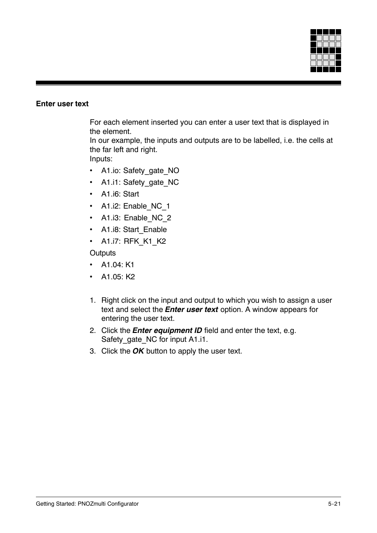

#### **Enter user text**

For each element inserted you can enter a user text that is displayed in the element.

In our example, the inputs and outputs are to be labelled, i.e. the cells at the far left and right.

Inputs:

- A1.io: Safety gate NO
- A1.i1: Safety gate NC
- A1.i6: Start
- A1.i2: Enable NC 1
- A1.i3: Enable NC 2
- A1.i8: Start Enable
- A1.i7: RFK K1 K2

**Outputs** 

- A1.04: K1
- A1.05: K2
- 1. Right click on the input and output to which you wish to assign a user text and select the *Enter user text* option. A window appears for entering the user text.
- 2. Click the *Enter equipment ID* field and enter the text, e.g. Safety\_gate\_NC for input A1.i1.
- 3. Click the *OK* button to apply the user text.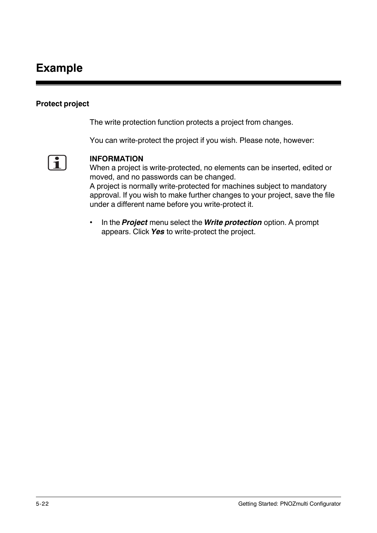# **Example**

### **Protect project**

The write protection function protects a project from changes.

You can write-protect the project if you wish. Please note, however:



#### **INFORMATION**

When a project is write-protected, no elements can be inserted, edited or moved, and no passwords can be changed.

A project is normally write-protected for machines subject to mandatory approval. If you wish to make further changes to your project, save the file under a different name before you write-protect it.

• In the *Project* menu select the *Write protection* option. A prompt appears. Click *Yes* to write-protect the project.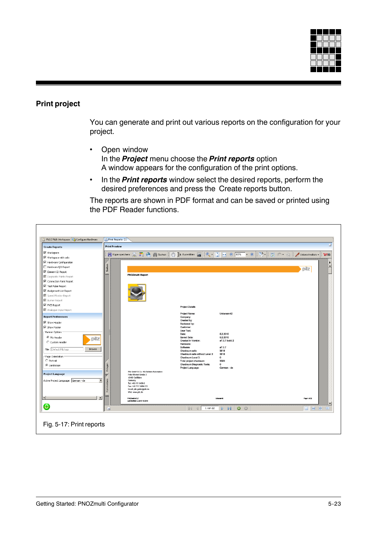

## **Print project**

You can generate and print out various reports on the configuration for your project.

- Open window In the *Project* menu choose the *Print reports* option A window appears for the configuration of the print options.
- In the *Print reports* window select the desired reports, perform the desired preferences and press the Create reports button.

The reports are shown in PDF format and can be saved or printed using the PDF Reader functions.

| PNOZ Multi Workspace [197] Configure Hardware        | Print Reports 23                                                         |                                                                        |                                                    |  |
|------------------------------------------------------|--------------------------------------------------------------------------|------------------------------------------------------------------------|----------------------------------------------------|--|
| <b>Create Reports</b>                                | <b>Print Preview</b>                                                     |                                                                        |                                                    |  |
| $\boxed{\blacksquare}$ Workspace                     | Kopie speichern                                                          |                                                                        | <b>BS AND THE</b><br>Unterschreiben $\cdot$<br>Y/W |  |
| $\overline{\blacktriangledown}$ Workspace with cells |                                                                          |                                                                        |                                                    |  |
| $\overline{\blacksquare}$ Hardware Configuration     |                                                                          |                                                                        | $\overline{\phantom{0}}$                           |  |
| Hardware I/O Report                                  | Seiten                                                                   |                                                                        | Ė<br>pilz                                          |  |
| $\boxed{\blacktriangledown}$ Element ID Report       |                                                                          |                                                                        |                                                    |  |
| Diagnostic Points Report                             | <b>PNOZmulti Report</b>                                                  |                                                                        |                                                    |  |
| Connection Point Report                              |                                                                          |                                                                        |                                                    |  |
| Test Pulse Report                                    |                                                                          |                                                                        |                                                    |  |
| Assignment List Report                               |                                                                          |                                                                        |                                                    |  |
| Speed Monitor Report                                 |                                                                          |                                                                        |                                                    |  |
| ■ Burner Report                                      |                                                                          |                                                                        |                                                    |  |
| $\overline{\blacktriangledown}$ PVIS Report          |                                                                          |                                                                        |                                                    |  |
| Analogue Input Report                                |                                                                          | <b>Project Details</b>                                                 |                                                    |  |
| <b>Report Preferences</b>                            |                                                                          | Project Name:<br>Unbenannt2<br>Company:                                |                                                    |  |
| Show Header                                          |                                                                          | Created by:                                                            |                                                    |  |
| Show Footer                                          |                                                                          | Reviewed by:<br>Customer:                                              |                                                    |  |
| Banner Options                                       |                                                                          | User Text:                                                             |                                                    |  |
| C Pilz Header                                        |                                                                          | 5.2.2010<br>Date:<br>5.2.2010<br>Saved Date:                           |                                                    |  |
| pilz<br>C Custom Header                              |                                                                          | a7.0.7 build 2<br>Created in Version:                                  |                                                    |  |
|                                                      |                                                                          | Hardware:                                                              |                                                    |  |
| File: Default Pilz logo<br>Browse                    |                                                                          | a7.0.7<br>Software:<br>3818<br>Checksum safe:                          |                                                    |  |
|                                                      |                                                                          | Checksum safe without Level 3:<br>3818                                 |                                                    |  |
| Page Orientation<br>C Portrait                       |                                                                          | Checksum Level 3:<br>$^{\circ}$<br>Total project checksum:<br>3580     |                                                    |  |
| C Landscape                                          |                                                                          | Checksum Diagnostic Texts:<br>$\mathbf{0}$                             |                                                    |  |
|                                                      | Anlagen                                                                  | Project Language:<br>German - de                                       |                                                    |  |
| <b>Project Language</b>                              | Pilz GmbH & Co. KG Sichere Automation<br>سيا<br>Felix-Wankel-Straße 2    |                                                                        |                                                    |  |
|                                                      | 73760 Ostfildem                                                          |                                                                        |                                                    |  |
| Active Project Language: German - de                 | Kommentare<br>$\overline{\phantom{a}}$<br>Germany<br>Tel: +49 711 3409-0 |                                                                        |                                                    |  |
|                                                      | Fax: +49 711 3409-133<br>Email: pilz.gmbh@pilz.de                        |                                                                        |                                                    |  |
|                                                      | Web: www.pilz.de                                                         |                                                                        |                                                    |  |
| $\left  \cdot \right $                               | $\blacktriangleright$<br>PNOZmult a7.0.7                                 | Urbanannt2                                                             | Page 1 of 22                                       |  |
|                                                      | Last Modifiad: 5.2.2010 15:20:13                                         |                                                                        |                                                    |  |
| G                                                    | Ξ                                                                        | $\bullet$<br>$\odot$<br>$\triangleright$<br>1 von 22<br>$\blacksquare$ | <b>DH #</b>                                        |  |
|                                                      |                                                                          |                                                                        |                                                    |  |
|                                                      |                                                                          |                                                                        |                                                    |  |
| Fig. 5-17: Print reports                             |                                                                          |                                                                        |                                                    |  |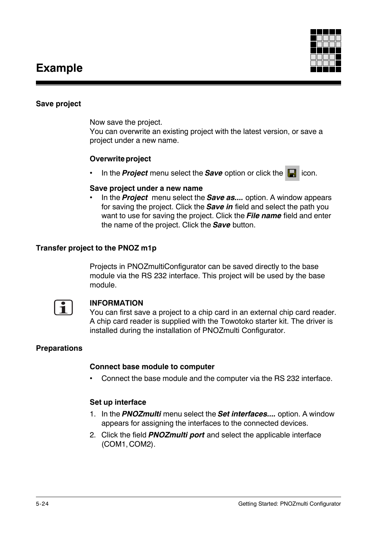## **Example**



### **Save project**

Now save the project.

You can overwrite an existing project with the latest version, or save a project under a new name.

#### **Overwrite project**

In the **Project** menu select the **Save** option or click the **F** icon.

### **Save project under a new name**

• In the *Project* menu select the *Save as....* option. A window appears for saving the project. Click the *Save in* field and select the path you want to use for saving the project. Click the *File name* field and enter the name of the project. Click the *Save* button.

## **Transfer project to the PNOZ m1p**

Projects in PNOZmultiConfigurator can be saved directly to the base module via the RS 232 interface. This project will be used by the base module.



#### **INFORMATION**

You can first save a project to a chip card in an external chip card reader. A chip card reader is supplied with the Towotoko starter kit. The driver is installed during the installation of PNOZmulti Configurator.

## **Preparations**

#### **Connect base module to computer**

• Connect the base module and the computer via the RS 232 interface.

#### **Set up interface**

- 1. In the *PNOZmulti* menu select the *Set interfaces....* option. A window appears for assigning the interfaces to the connected devices.
- 2. Click the field *PNOZmulti port* and select the applicable interface (COM1, COM2).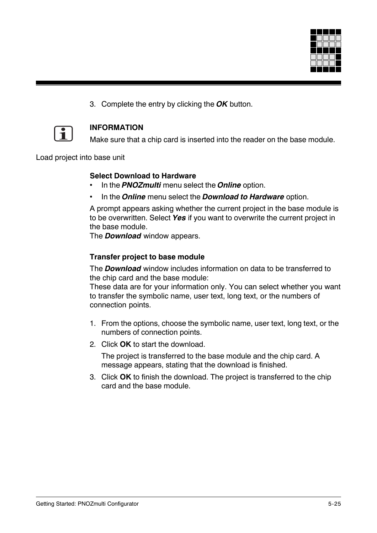

3. Complete the entry by clicking the *OK* button.



### **INFORMATION**

Make sure that a chip card is inserted into the reader on the base module.

Load project into base unit

#### **Select Download to Hardware**

- In the *PNOZmulti* menu select the *Online* option.
- In the *Online* menu select the *Download to Hardware* option.

A prompt appears asking whether the current project in the base module is to be overwritten. Select *Yes* if you want to overwrite the current project in the base module.

The *Download* window appears.

#### **Transfer project to base module**

The *Download* window includes information on data to be transferred to the chip card and the base module:

These data are for your information only. You can select whether you want to transfer the symbolic name, user text, long text, or the numbers of connection points.

- 1. From the options, choose the symbolic name, user text, long text, or the numbers of connection points.
- 2. Click **OK** to start the download.

The project is transferred to the base module and the chip card. A message appears, stating that the download is finished.

3. Click **OK** to finish the download. The project is transferred to the chip card and the base module.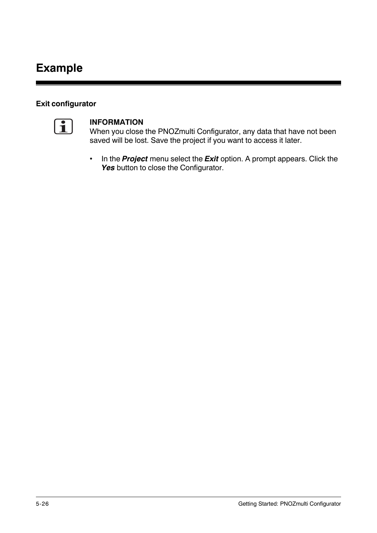# **Example**

### **Exit configurator**



#### **INFORMATION**

When you close the PNOZmulti Configurator, any data that have not been saved will be lost. Save the project if you want to access it later.

• In the *Project* menu select the *Exit* option. A prompt appears. Click the Yes button to close the Configurator.